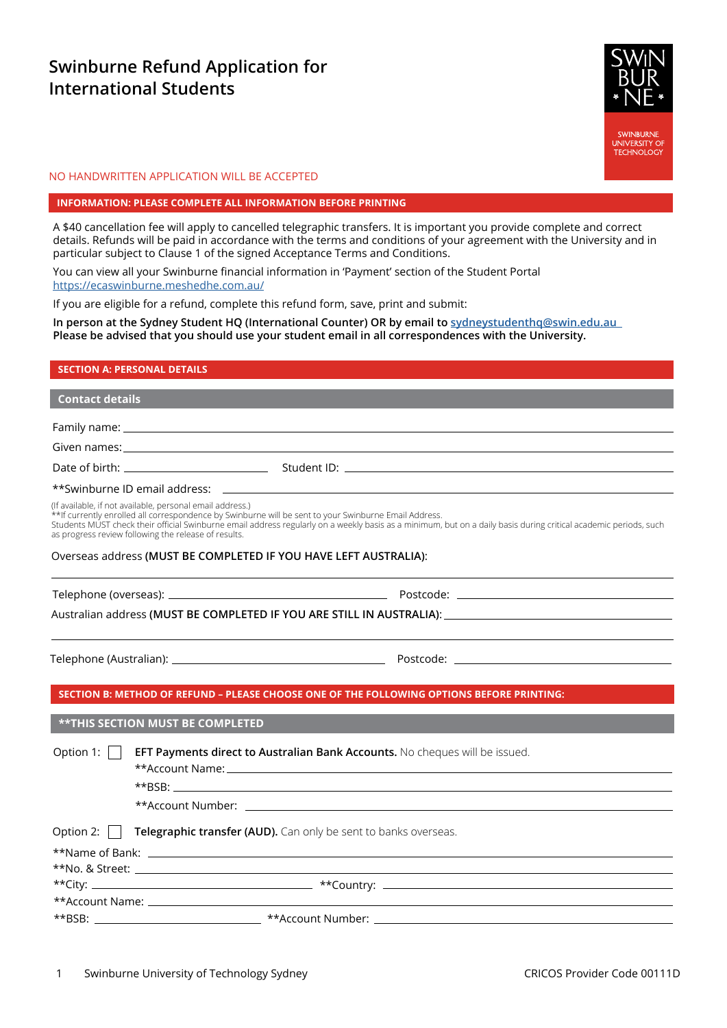# **Swinburne Refund Application for International Students**



### NO HANDWRITTEN APPLICATION WILL BE ACCEPTED

#### **INFORMATION: PLEASE COMPLETE ALL INFORMATION BEFORE PRINTING**

A \$40 cancellation fee will apply to cancelled telegraphic transfers. It is important you provide complete and correct details. Refunds will be paid in accordance with the terms and conditions of your agreement with the University and in particular subject to Clause 1 of the signed Acceptance Terms and Conditions.

You can view all your Swinburne financial information in 'Payment' section of the Student Portal <https://ecaswinburne.meshedhe.com.au/>

If you are eligible for a refund, complete this refund form, save, print and submit:

**In person at the Sydney Student HQ (International Counter) OR by email to [sydneystudenthq@swin.edu.au](mailto:sydneystudenthq%40swin.edu.au%20%20?subject=)  Please be advised that you should use your student email in all correspondences with the University.**

## **SECTION A: PERSONAL DETAILS**

# **Contact details**

Family name:

Given names:

Date of birth: Student ID: Student ID: Student ID: Student ID: Student ID: Student ID: Student ID: Student ID: Student ID: Student ID: Student ID: Student ID: Student ID: Student ID: Student ID: Student ID: Student ID: Stu

# \*\*Swinburne ID email address:

(If available, if not available, personal email address.)

\*\*If currently enrolled all correspondence by Swinburne will be sent to your Swinburne Email Address.

Students MUST check their official Swinburne email address regularly on a weekly basis as a minimum, but on a daily basis during critical academic periods, such as progress review following the release of results.

### Overseas address **(MUST BE COMPLETED IF YOU HAVE LEFT AUSTRALIA)**:

| Telephone (overseas): |  |
|-----------------------|--|

Australian address **(MUST BE COMPLETED IF YOU ARE STILL IN AUSTRALIA)**:

Telephone (Australian): Postcode:

#### **SECTION B: METHOD OF REFUND – PLEASE CHOOSE ONE OF THE FOLLOWING OPTIONS BEFORE PRINTING:**

**\*\*THIS SECTION MUST BE COMPLETED**

**Option 1:** | **EFT Payments direct to Australian Bank Accounts.** No cheques will be issued.

\*\*BSB:

\*\*Account Name:

\*\*Account Number:

**Option 2: Telegraphic transfer (AUD).** Can only be sent to banks overseas.

| **Name of Bank: ____________________________ |                                                             |  |
|----------------------------------------------|-------------------------------------------------------------|--|
| **No. & Street:                              | <u> 1989 - Jan Sterling, amerikansk politiker (d. 1989)</u> |  |
|                                              |                                                             |  |
|                                              |                                                             |  |
| $**$ BSB:                                    |                                                             |  |

Telephone (overseas): Postcode: